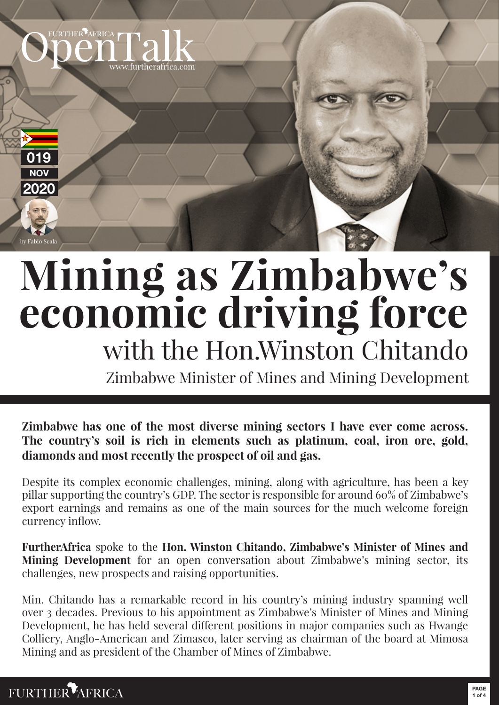

# **Mining as Zimbabwe's economic driving force** with the Hon.Winston Chitando

Zimbabwe Minister of Mines and Mining Development

**The country's soil is rich in elements such as platinum, coal, iron ore, gold, diamonds and most recently the prospect of oil and gas.** 

Despite its complex economic challenges, mining, along with agriculture, has been a key pillar supporting the country's GDP. The sector is responsible for around 60% of Zimbabwe's export earnings and remains as one of the main sources for the much welcome foreign currency inflow.

**FurtherAfrica** spoke to the **Hon. Winston Chitando, Zimbabwe's Minister of Mines and Mining Development** for an open conversation about Zimbabwe's mining sector, its challenges, new prospects and raising opportunities.

**Zimbabwe has one of the most diverse mining sectors I have ever come across.**<br>**The country's soil is rich in elements such as platinum, coal, iron ore, gold,**<br>**diamonds and most recently the prospect of oil and gas.**<br>Desp Min. Chitando has a remarkable record in his country's mining industry spanning well over 3 decades. Previous to his appointment as Zimbabwe's Minister of Mines and Mining Development, he has held several different positions in major companies such as Hwange Colliery, Anglo-American and Zimasco, later serving as chairman of the board at Mimosa Mining and as president of the Chamber of Mines of Zimbabwe.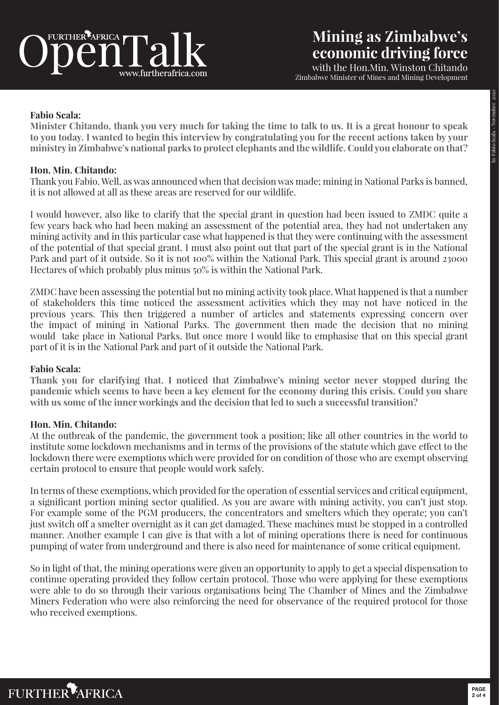

# **Mining as Zimbabwe's economic driving force**

with the Hon.Min. Winston Chitando Zimbabwe Minister of Mines and Mining Development

# **Fabio Scala:**

**Minister Chitando, thank you very much for taking the time to talk to us. It is a great honour to speak to you today. I wanted to begin this interview by congratulating you for the recent actions taken by your ministry in Zimbabwe's national parks to protect elephants and the wildlife. Could you elaborate on that?**

# **Hon. Min. Chitando:**

Thank you Fabio. Well, as was announced when that decision was made; mining in National Parks is banned, it is not allowed at all as these areas are reserved for our wildlife.

I would however, also like to clarify that the special grant in question had been issued to ZMDC quite a few years back who had been making an assessment of the potential area, they had not undertaken any mining activity and in this particular case what happened is that they were continuing with the assessment of the potential of that special grant. I must also point out that part of the special grant is in the National Park and part of it outside. So it is not 100% within the National Park. This special grant is around 23000 Hectares of which probably plus minus 50% is within the National Park.

ZMDC have been assessing the potential but no mining activity took place. What happened is that a number of stakeholders this time noticed the assessment activities which they may not have noticed in the previous years. This then triggered a number of articles and statements expressing concern over the impact of mining in National Parks. The government then made the decision that no mining would take place in National Parks. But once more I would like to emphasise that on this special grant part of it is in the National Park and part of it outside the National Park.

## **Fabio Scala:**

**Thank you for clarifying that. I noticed that Zimbabwe's mining sector never stopped during the pandemic which seems to have been a key element for the economy during this crisis. Could you share with us some of the inner workings and the decision that led to such a successful transition?**

## **Hon. Min. Chitando:**

At the outbreak of the pandemic, the government took a position; like all other countries in the world to institute some lockdown mechanisms and in terms of the provisions of the statute which gave effect to the lockdown there were exemptions which were provided for on condition of those who are exempt observing certain protocol to ensure that people would work safely.

In terms of these exemptions, which provided for the operation of essential services and critical equipment, a significant portion mining sector qualified. As you are aware with mining activity, you can't just stop. For example some of the PGM producers, the concentrators and smelters which they operate; you can't just switch off a smelter overnight as it can get damaged. These machines must be stopped in a controlled manner. Another example I can give is that with a lot of mining operations there is need for continuous pumping of water from underground and there is also need for maintenance of some critical equipment.

So in light of that, the mining operations were given an opportunity to apply to get a special dispensation to continue operating provided they follow certain protocol. Those who were applying for these exemptions were able to do so through their various organisations being The Chamber of Mines and the Zimbabwe Miners Federation who were also reinforcing the need for observance of the required protocol for those who received exemptions.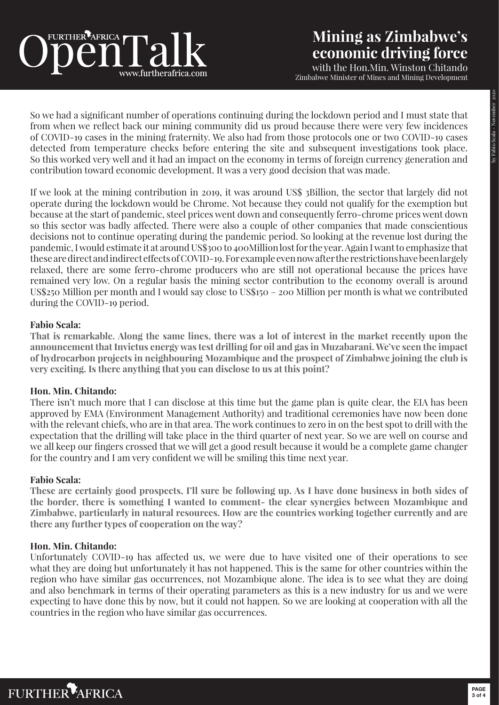# **Mining as Zimbabwe's economic driving force**

with the Hon.Min. Winston Chitando Zimbabwe Minister of Mines and Mining Development

So we had a significant number of operations continuing during the lockdown period and I must state that from when we reflect back our mining community did us proud because there were very few incidences of COVID-19 cases in the mining fraternity. We also had from those protocols one or two COVID-19 cases detected from temperature checks before entering the site and subsequent investigations took place. So this worked very well and it had an impact on the economy in terms of foreign currency generation and contribution toward economic development. It was a very good decision that was made.

If we look at the mining contribution in 2019, it was around US\$ 3Billion, the sector that largely did not operate during the lockdown would be Chrome. Not because they could not qualify for the exemption but because at the start of pandemic, steel prices went down and consequently ferro-chrome prices went down so this sector was badly affected. There were also a couple of other companies that made conscientious decisions not to continue operating during the pandemic period. So looking at the revenue lost during the pandemic, I would estimate it at around US\$300 to 400Million lost for the year. Again I want to emphasize that these are direct and indirect effects of COVID-19. For example even now after the restrictions have been largely relaxed, there are some ferro-chrome producers who are still not operational because the prices have remained very low. On a regular basis the mining sector contribution to the economy overall is around US\$250 Million per month and I would say close to US\$150 – 200 Million per month is what we contributed during the COVID-19 period.

# **Fabio Scala:**

**That is remarkable. Along the same lines, there was a lot of interest in the market recently upon the announcement that Invictus energy was test drilling for oil and gas in Muzabarani. We've seen the impact of hydrocarbon projects in neighbouring Mozambique and the prospect of Zimbabwe joining the club is very exciting. Is there anything that you can disclose to us at this point?**

## **Hon. Min. Chitando:**

There isn't much more that I can disclose at this time but the game plan is quite clear, the EIA has been approved by EMA (Environment Management Authority) and traditional ceremonies have now been done with the relevant chiefs, who are in that area. The work continues to zero in on the best spot to drill with the expectation that the drilling will take place in the third quarter of next year. So we are well on course and we all keep our fingers crossed that we will get a good result because it would be a complete game changer for the country and I am very confident we will be smiling this time next year.

## **Fabio Scala:**

**These are certainly good prospects, I'll sure be following up. As I have done business in both sides of the border, there is something I wanted to comment- the clear synergies between Mozambique and Zimbabwe, particularly in natural resources. How are the countries working together currently and are there any further types of cooperation on the way?**

# **Hon. Min. Chitando:**

Unfortunately COVID-19 has affected us, we were due to have visited one of their operations to see what they are doing but unfortunately it has not happened. This is the same for other countries within the region who have similar gas occurrences, not Mozambique alone. The idea is to see what they are doing and also benchmark in terms of their operating parameters as this is a new industry for us and we were expecting to have done this by now, but it could not happen. So we are looking at cooperation with all the countries in the region who have similar gas occurrences.